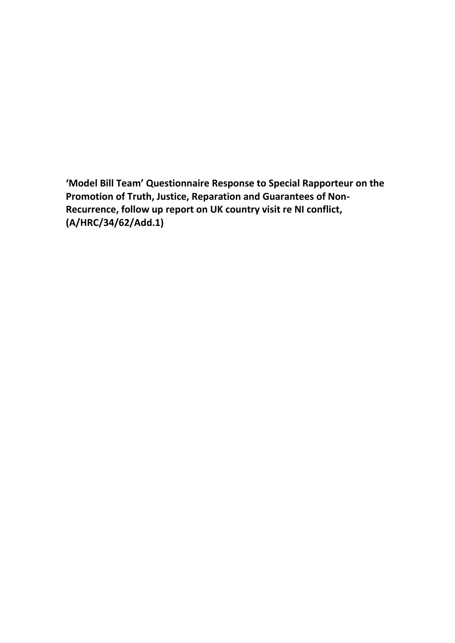**'Model Bill Team' Questionnaire Response to Special Rapporteur on the Promotion of Truth, Justice, Reparation and Guarantees of Non-Recurrence, follow up report on UK country visit re NI conflict, (A/HRC/34/62/Add.1)**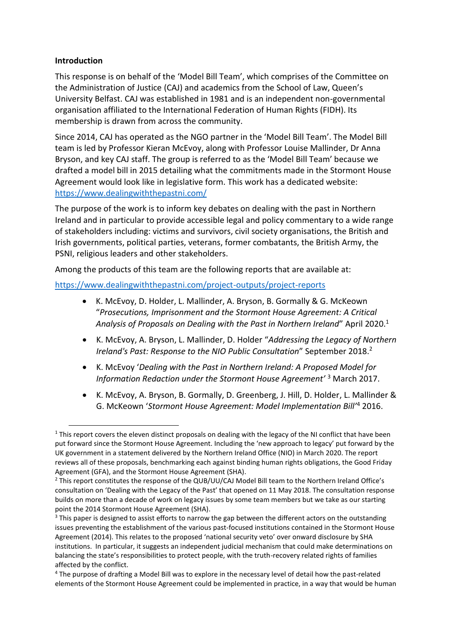## **Introduction**

This response is on behalf of the 'Model Bill Team', which comprises of the Committee on the Administration of Justice (CAJ) and academics from the School of Law, Queen's University Belfast. CAJ was established in 1981 and is an independent non-governmental organisation affiliated to the International Federation of Human Rights (FIDH). Its membership is drawn from across the community.

Since 2014, CAJ has operated as the NGO partner in the 'Model Bill Team'. The Model Bill team is led by Professor Kieran McEvoy, along with Professor Louise Mallinder, Dr Anna Bryson, and key CAJ staff. The group is referred to as the 'Model Bill Team' because we drafted a model bill in 2015 detailing what the commitments made in the Stormont House Agreement would look like in legislative form. This work has a dedicated website: <https://www.dealingwiththepastni.com/>

The purpose of the work is to inform key debates on dealing with the past in Northern Ireland and in particular to provide accessible legal and policy commentary to a wide range of stakeholders including: victims and survivors, civil society organisations, the British and Irish governments, political parties, veterans, former combatants, the British Army, the PSNI, religious leaders and other stakeholders.

Among the products of this team are the following reports that are available at:

<https://www.dealingwiththepastni.com/project-outputs/project-reports>

- K. McEvoy, D. Holder, L. Mallinder, A. Bryson, B. Gormally & G. McKeown "*Prosecutions, Imprisonment and the Stormont House Agreement: A Critical Analysis of Proposals on Dealing with the Past in Northern Ireland*" April 2020.<sup>1</sup>
- K. McEvoy, A. Bryson, L. Mallinder, D. Holder "*Addressing the Legacy of Northern Ireland's Past: Response to the NIO Public Consultation"* September 2018.<sup>2</sup>
- K. McEvoy '*Dealing with the Past in Northern Ireland: A Proposed Model for Information Redaction under the Stormont House Agreement'* <sup>3</sup> March 2017.
- K. McEvoy, A. Bryson, B. Gormally, D. Greenberg, J. Hill, D. Holder, L. Mallinder & G. McKeown '*Stormont House Agreement: Model Implementation Bill'*<sup>4</sup> 2016.

 $1$  This report covers the eleven distinct proposals on dealing with the legacy of the NI conflict that have been put forward since the Stormont House Agreement. Including the 'new approach to legacy' put forward by the UK government in a statement delivered by the Northern Ireland Office (NIO) in March 2020. The report reviews all of these proposals, benchmarking each against binding human rights obligations, the Good Friday Agreement (GFA), and the Stormont House Agreement (SHA).

<sup>&</sup>lt;sup>2</sup> This report constitutes the response of the QUB/UU/CAJ Model Bill team to the Northern Ireland Office's consultation on 'Dealing with the Legacy of the Past' that opened on 11 May 2018. The consultation response builds on more than a decade of work on legacy issues by some team members but we take as our starting point the 2014 Stormont House Agreement (SHA).

 $3$  This paper is designed to assist efforts to narrow the gap between the different actors on the outstanding issues preventing the establishment of the various past-focused institutions contained in the Stormont House Agreement (2014). This relates to the proposed 'national security veto' over onward disclosure by SHA institutions. In particular, it suggests an independent judicial mechanism that could make determinations on balancing the state's responsibilities to protect people, with the truth-recovery related rights of families affected by the conflict.

<sup>4</sup> The purpose of drafting a Model Bill was to explore in the necessary level of detail how the past-related elements of the Stormont House Agreement could be implemented in practice, in a way that would be human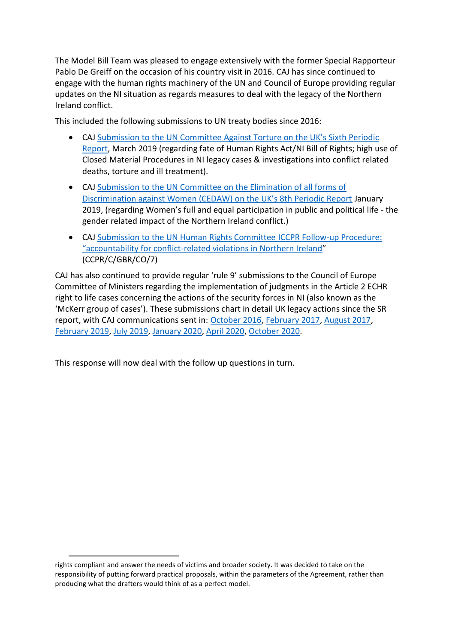The Model Bill Team was pleased to engage extensively with the former Special Rapporteur Pablo De Greiff on the occasion of his country visit in 2016. CAJ has since continued to engage with the human rights machinery of the UN and Council of Europe providing regular updates on the NI situation as regards measures to deal with the legacy of the Northern Ireland conflict.

This included the following submissions to UN treaty bodies since 2016:

- CAJ S[ubmission to the UN Committee Against Torture on the UK's Sixth Periodic](https://caj.org.uk/2019/03/21/cat-submission-mar-19/)  [Report,](https://caj.org.uk/2019/03/21/cat-submission-mar-19/) March 2019 (regarding fate of Human Rights Act/NI Bill of Rights; high use of Closed Material Procedures in NI legacy cases & investigations into conflict related deaths, torture and ill treatment).
- CAJ [Submission to the UN Committee on the Elimination of all forms of](https://caj.org.uk/2019/02/04/submission-to-the-un-committee-on-the-elimination-of-all-forms-of-discrimination-against-women-cedaw-on-the-uks-8th-periodic-report/)  [Discrimination against Women \(CEDAW\) on the UK's 8th Periodic Report](https://caj.org.uk/2019/02/04/submission-to-the-un-committee-on-the-elimination-of-all-forms-of-discrimination-against-women-cedaw-on-the-uks-8th-periodic-report/) January 2019, (regarding Women's full and equal participation in public and political life - the gender related impact of the Northern Ireland conflict.)
- CAJ [Submission to the UN Human Rights Committee ICCPR Follow-up Procedure:](https://caj.org.uk/2017/06/30/s465-united-nations-human-rights-committee-response-concluding-observations-7th-periodic-report-uk-international-covenant-civil-political-rights-iccpr/)  "accountability for conflict[-related violations in Northern Ireland](https://caj.org.uk/2017/06/30/s465-united-nations-human-rights-committee-response-concluding-observations-7th-periodic-report-uk-international-covenant-civil-political-rights-iccpr/)" (CCPR/C/GBR/CO/7)

CAJ has also continued to provide regular 'rule 9' submissions to the Council of Europe Committee of Ministers regarding the implementation of judgments in the Article 2 ECHR right to life cases concerning the actions of the security forces in NI (also known as the 'McKerr group of cases'). These submissions chart in detail UK legacy actions since the SR report, with CAJ communications sent in: [October 2016,](file:///C:/Users/daniel.holder/Desktop/s3-eu-west-1.amazonaws.com/caj.org.uk/2017/03/15125217/S459-CAJ-Rule-9-Submission-to-the-Committee-of-Ministers-on-the-McKerr-group-of-cases-October-2016.pdf) [February 2017,](http://s3-eu-west-1.amazonaws.com/caj.org.uk/2017/03/15125220/S460-CAJ-submission-re-Rule-9-February-2017.pdf) [August 2017,](https://caj.org.uk/2017/09/21/s468-cajs-submission-committee-ministers-august-2017/) [February 2019,](https://caj.org.uk/2019/02/20/submission-to-the-committee-of-ministers-in-relation-to-the-supervision-of-cases-concerning-the-action-of-the-security-forces-in-northern-ireland-feb-2019/) [July 2019,](https://caj.org.uk/2019/09/23/submission-to-the-committee-of-ministers-in-relation-to-the-supervision-of-cases-concerning-the-action-of-the-security-forces-in-northern-ireland-july-2019/) [January 2020,](https://caj.org.uk/2020/03/10/submission-on-mckerr-cases-jan-20/) [April 2020,](https://caj.org.uk/2020/04/27/submission-committee-of-ministers-april-20/) [October 2020.](https://caj.org.uk/2020/12/03/submission-to-the-committee-of-ministers-october-2020/)

This response will now deal with the follow up questions in turn.

rights compliant and answer the needs of victims and broader society. It was decided to take on the responsibility of putting forward practical proposals, within the parameters of the Agreement, rather than producing what the drafters would think of as a perfect model.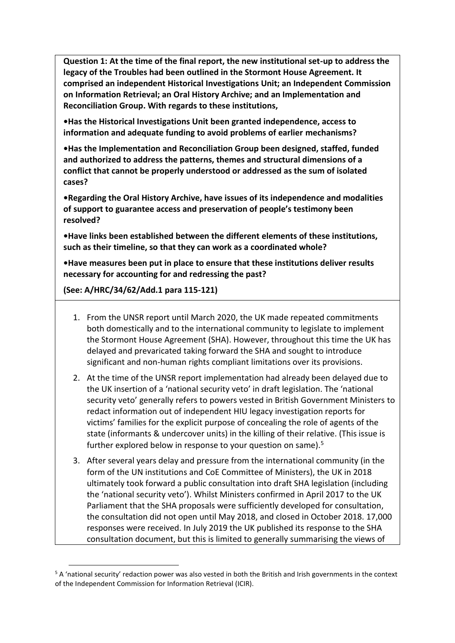**Question 1: At the time of the final report, the new institutional set-up to address the legacy of the Troubles had been outlined in the Stormont House Agreement. It comprised an independent Historical Investigations Unit; an Independent Commission on Information Retrieval; an Oral History Archive; and an Implementation and Reconciliation Group. With regards to these institutions,** 

**•Has the Historical Investigations Unit been granted independence, access to information and adequate funding to avoid problems of earlier mechanisms?** 

**•Has the Implementation and Reconciliation Group been designed, staffed, funded and authorized to address the patterns, themes and structural dimensions of a conflict that cannot be properly understood or addressed as the sum of isolated cases?** 

**•Regarding the Oral History Archive, have issues of its independence and modalities of support to guarantee access and preservation of people's testimony been resolved?** 

**•Have links been established between the different elements of these institutions, such as their timeline, so that they can work as a coordinated whole?** 

**•Have measures been put in place to ensure that these institutions deliver results necessary for accounting for and redressing the past?** 

**(See: A/HRC/34/62/Add.1 para 115-121)**

- 1. From the UNSR report until March 2020, the UK made repeated commitments both domestically and to the international community to legislate to implement the Stormont House Agreement (SHA). However, throughout this time the UK has delayed and prevaricated taking forward the SHA and sought to introduce significant and non-human rights compliant limitations over its provisions.
- 2. At the time of the UNSR report implementation had already been delayed due to the UK insertion of a 'national security veto' in draft legislation. The 'national security veto' generally refers to powers vested in British Government Ministers to redact information out of independent HIU legacy investigation reports for victims' families for the explicit purpose of concealing the role of agents of the state (informants & undercover units) in the killing of their relative. (This issue is further explored below in response to your question on same).<sup>5</sup>
- 3. After several years delay and pressure from the international community (in the form of the UN institutions and CoE Committee of Ministers), the UK in 2018 ultimately took forward a public consultation into draft SHA legislation (including the 'national security veto'). Whilst Ministers confirmed in April 2017 to the UK Parliament that the SHA proposals were sufficiently developed for consultation, the consultation did not open until May 2018, and closed in October 2018. 17,000 responses were received. In July 2019 the UK published its response to the SHA consultation document, but this is limited to generally summarising the views of

<sup>&</sup>lt;sup>5</sup> A 'national security' redaction power was also vested in both the British and Irish governments in the context of the Independent Commission for Information Retrieval (ICIR).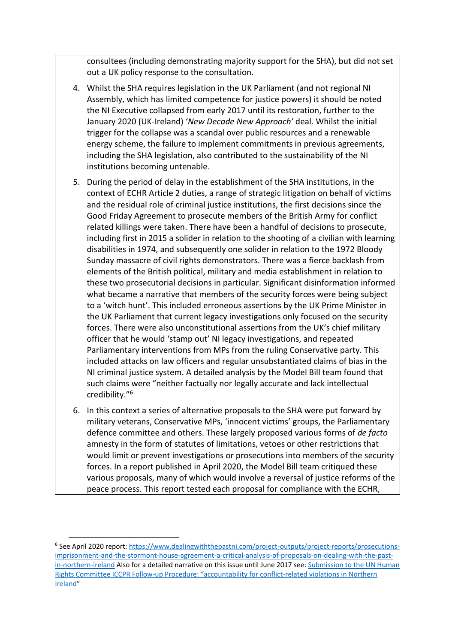consultees (including demonstrating majority support for the SHA), but did not set out a UK policy response to the consultation.

- 4. Whilst the SHA requires legislation in the UK Parliament (and not regional NI Assembly, which has limited competence for justice powers) it should be noted the NI Executive collapsed from early 2017 until its restoration, further to the January 2020 (UK-Ireland) '*New Decade New Approach'* deal. Whilst the initial trigger for the collapse was a scandal over public resources and a renewable energy scheme, the failure to implement commitments in previous agreements, including the SHA legislation, also contributed to the sustainability of the NI institutions becoming untenable.
- 5. During the period of delay in the establishment of the SHA institutions, in the context of ECHR Article 2 duties, a range of strategic litigation on behalf of victims and the residual role of criminal justice institutions, the first decisions since the Good Friday Agreement to prosecute members of the British Army for conflict related killings were taken. There have been a handful of decisions to prosecute, including first in 2015 a solider in relation to the shooting of a civilian with learning disabilities in 1974, and subsequently one solider in relation to the 1972 Bloody Sunday massacre of civil rights demonstrators. There was a fierce backlash from elements of the British political, military and media establishment in relation to these two prosecutorial decisions in particular. Significant disinformation informed what became a narrative that members of the security forces were being subject to a 'witch hunt'. This included erroneous assertions by the UK Prime Minister in the UK Parliament that current legacy investigations only focused on the security forces. There were also unconstitutional assertions from the UK's chief military officer that he would 'stamp out' NI legacy investigations, and repeated Parliamentary interventions from MPs from the ruling Conservative party. This included attacks on law officers and regular unsubstantiated claims of bias in the NI criminal justice system. A detailed analysis by the Model Bill team found that such claims were "neither factually nor legally accurate and lack intellectual credibility."<sup>6</sup>
- 6. In this context a series of alternative proposals to the SHA were put forward by military veterans, Conservative MPs, 'innocent victims' groups, the Parliamentary defence committee and others. These largely proposed various forms of *de facto* amnesty in the form of statutes of limitations, vetoes or other restrictions that would limit or prevent investigations or prosecutions into members of the security forces. In a report published in April 2020, the Model Bill team critiqued these various proposals, many of which would involve a reversal of justice reforms of the peace process. This report tested each proposal for compliance with the ECHR,

<sup>&</sup>lt;sup>6</sup> See April 2020 report: [https://www.dealingwiththepastni.com/project-outputs/project-reports/prosecutions](https://www.dealingwiththepastni.com/project-outputs/project-reports/prosecutions-imprisonment-and-the-stormont-house-agreement-a-critical-analysis-of-proposals-on-dealing-with-the-past-in-northern-ireland)[imprisonment-and-the-stormont-house-agreement-a-critical-analysis-of-proposals-on-dealing-with-the-past](https://www.dealingwiththepastni.com/project-outputs/project-reports/prosecutions-imprisonment-and-the-stormont-house-agreement-a-critical-analysis-of-proposals-on-dealing-with-the-past-in-northern-ireland)[in-northern-ireland](https://www.dealingwiththepastni.com/project-outputs/project-reports/prosecutions-imprisonment-and-the-stormont-house-agreement-a-critical-analysis-of-proposals-on-dealing-with-the-past-in-northern-ireland) Also for a detailed narrative on this issue until June 2017 see: [Submission to the UN Human](https://caj.org.uk/2017/06/30/s465-united-nations-human-rights-committee-response-concluding-observations-7th-periodic-report-uk-international-covenant-civil-political-rights-iccpr/)  Rights Committee ICCPR Follow-[up Procedure: "accountability for conflict](https://caj.org.uk/2017/06/30/s465-united-nations-human-rights-committee-response-concluding-observations-7th-periodic-report-uk-international-covenant-civil-political-rights-iccpr/)-related violations in Northern [Ireland](https://caj.org.uk/2017/06/30/s465-united-nations-human-rights-committee-response-concluding-observations-7th-periodic-report-uk-international-covenant-civil-political-rights-iccpr/)"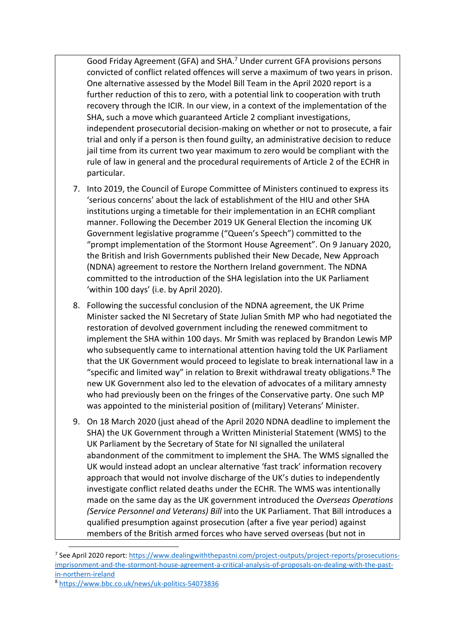Good Friday Agreement (GFA) and SHA.<sup>7</sup> Under current GFA provisions persons convicted of conflict related offences will serve a maximum of two years in prison. One alternative assessed by the Model Bill Team in the April 2020 report is a further reduction of this to zero, with a potential link to cooperation with truth recovery through the ICIR. In our view, in a context of the implementation of the SHA, such a move which guaranteed Article 2 compliant investigations, independent prosecutorial decision-making on whether or not to prosecute, a fair trial and only if a person is then found guilty, an administrative decision to reduce jail time from its current two year maximum to zero would be compliant with the rule of law in general and the procedural requirements of Article 2 of the ECHR in particular.

- 7. Into 2019, the Council of Europe Committee of Ministers continued to express its 'serious concerns' about the lack of establishment of the HIU and other SHA institutions urging a timetable for their implementation in an ECHR compliant manner. Following the December 2019 UK General Election the incoming UK Government legislative programme ("Queen's Speech") committed to the "prompt implementation of the Stormont House Agreement". On 9 January 2020, the British and Irish Governments published their New Decade, New Approach (NDNA) agreement to restore the Northern Ireland government. The NDNA committed to the introduction of the SHA legislation into the UK Parliament 'within 100 days' (i.e. by April 2020).
- 8. Following the successful conclusion of the NDNA agreement, the UK Prime Minister sacked the NI Secretary of State Julian Smith MP who had negotiated the restoration of devolved government including the renewed commitment to implement the SHA within 100 days. Mr Smith was replaced by Brandon Lewis MP who subsequently came to international attention having told the UK Parliament that the UK Government would proceed to legislate to break international law in a "specific and limited way" in relation to Brexit withdrawal treaty obligations. <sup>8</sup> The new UK Government also led to the elevation of advocates of a military amnesty who had previously been on the fringes of the Conservative party. One such MP was appointed to the ministerial position of (military) Veterans' Minister.
- 9. On 18 March 2020 (just ahead of the April 2020 NDNA deadline to implement the SHA) the UK Government through a Written Ministerial Statement (WMS) to the UK Parliament by the Secretary of State for NI signalled the unilateral abandonment of the commitment to implement the SHA. The WMS signalled the UK would instead adopt an unclear alternative 'fast track' information recovery approach that would not involve discharge of the UK's duties to independently investigate conflict related deaths under the ECHR. The WMS was intentionally made on the same day as the UK government introduced the *Overseas Operations (Service Personnel and Veterans) Bill* into the UK Parliament. That Bill introduces a qualified presumption against prosecution (after a five year period) against members of the British armed forces who have served overseas (but not in

<sup>&</sup>lt;sup>7</sup> See April 2020 report: [https://www.dealingwiththepastni.com/project-outputs/project-reports/prosecutions](https://www.dealingwiththepastni.com/project-outputs/project-reports/prosecutions-imprisonment-and-the-stormont-house-agreement-a-critical-analysis-of-proposals-on-dealing-with-the-past-in-northern-ireland)[imprisonment-and-the-stormont-house-agreement-a-critical-analysis-of-proposals-on-dealing-with-the-past](https://www.dealingwiththepastni.com/project-outputs/project-reports/prosecutions-imprisonment-and-the-stormont-house-agreement-a-critical-analysis-of-proposals-on-dealing-with-the-past-in-northern-ireland)[in-northern-ireland](https://www.dealingwiththepastni.com/project-outputs/project-reports/prosecutions-imprisonment-and-the-stormont-house-agreement-a-critical-analysis-of-proposals-on-dealing-with-the-past-in-northern-ireland)

<sup>8</sup> <https://www.bbc.co.uk/news/uk-politics-54073836>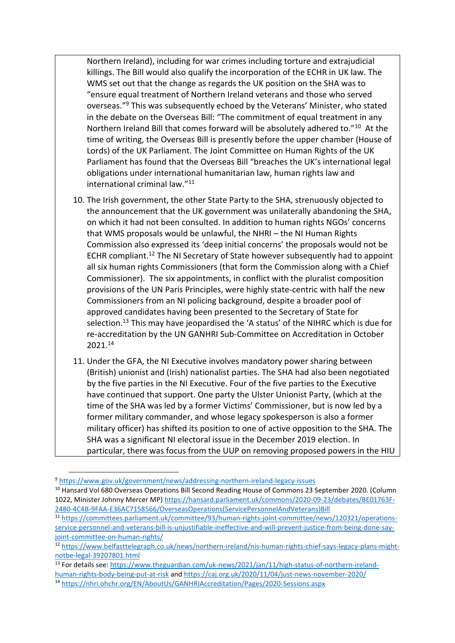Northern Ireland), including for war crimes including torture and extrajudicial killings. The Bill would also qualify the incorporation of the ECHR in UK law. The WMS set out that the change as regards the UK position on the SHA was to "ensure equal treatment of Northern Ireland veterans and those who served overseas."<sup>9</sup> This was subsequently echoed by the Veterans' Minister, who stated in the debate on the Overseas Bill: "The commitment of equal treatment in any Northern Ireland Bill that comes forward will be absolutely adhered to."<sup>10</sup> At the time of writing, the Overseas Bill is presently before the upper chamber (House of Lords) of the UK Parliament. The Joint Committee on Human Rights of the UK Parliament has found that the Overseas Bill "breaches the UK's international legal obligations under international humanitarian law, human rights law and international criminal law."<sup>11</sup>

- 10. The Irish government, the other State Party to the SHA, strenuously objected to the announcement that the UK government was unilaterally abandoning the SHA, on which it had not been consulted. In addition to human rights NGOs' concerns that WMS proposals would be unlawful, the NHRI – the NI Human Rights Commission also expressed its 'deep initial concerns' the proposals would not be ECHR compliant.<sup>12</sup> The NI Secretary of State however subsequently had to appoint all six human rights Commissioners (that form the Commission along with a Chief Commissioner). The six appointments, in conflict with the pluralist composition provisions of the UN Paris Principles, were highly state-centric with half the new Commissioners from an NI policing background, despite a broader pool of approved candidates having been presented to the Secretary of State for selection. <sup>13</sup> This may have jeopardised the 'A status' of the NIHRC which is due for re-accreditation by the UN GANHRI Sub-Committee on Accreditation in October 2021.<sup>14</sup>
- 11. Under the GFA, the NI Executive involves mandatory power sharing between (British) unionist and (Irish) nationalist parties. The SHA had also been negotiated by the five parties in the NI Executive. Four of the five parties to the Executive have continued that support. One party the Ulster Unionist Party, (which at the time of the SHA was led by a former Victims' Commissioner, but is now led by a former military commander, and whose legacy spokesperson is also a former military officer) has shifted its position to one of active opposition to the SHA. The SHA was a significant NI electoral issue in the December 2019 election. In particular, there was focus from the UUP on removing proposed powers in the HIU

<sup>13</sup> For details see: [https://www.theguardian.com/uk-news/2021/jan/11/high-status-of-northern-ireland](https://www.theguardian.com/uk-news/2021/jan/11/high-status-of-northern-ireland-human-rights-body-being-put-at-risk)[human-rights-body-being-put-at-risk](https://www.theguardian.com/uk-news/2021/jan/11/high-status-of-northern-ireland-human-rights-body-being-put-at-risk) and<https://caj.org.uk/2020/11/04/just-news-november-2020/>

<sup>9</sup> <https://www.gov.uk/government/news/addressing-northern-ireland-legacy-issues>

<sup>&</sup>lt;sup>10</sup> Hansard Vol 680 Overseas Operations Bill Second Reading House of Commons 23 September 2020. (Column 1022, Minister Johnny Mercer MP[\) https://hansard.parliament.uk/commons/2020-09-23/debates/BE01763F-](https://hansard.parliament.uk/commons/2020-09-23/debates/BE01763F-2480-4C4B-9FAA-E36AC7158566/OverseasOperations(ServicePersonnelAndVeterans)Bill)[2480-4C4B-9FAA-E36AC7158566/OverseasOperations\(ServicePersonnelAndVeterans\)Bill](https://hansard.parliament.uk/commons/2020-09-23/debates/BE01763F-2480-4C4B-9FAA-E36AC7158566/OverseasOperations(ServicePersonnelAndVeterans)Bill)

<sup>11</sup> [https://committees.parliament.uk/committee/93/human-rights-joint-committee/news/120321/operations](https://committees.parliament.uk/committee/93/human-rights-joint-committee/news/120321/operations-service-personnel-and-veterans-bill-is-unjustifiable-ineffective-and-will-prevent-justice-from-being-done-say-joint-committee-on-human-rights/)[service-personnel-and-veterans-bill-is-unjustifiable-ineffective-and-will-prevent-justice-from-being-done-say](https://committees.parliament.uk/committee/93/human-rights-joint-committee/news/120321/operations-service-personnel-and-veterans-bill-is-unjustifiable-ineffective-and-will-prevent-justice-from-being-done-say-joint-committee-on-human-rights/)[joint-committee-on-human-rights/](https://committees.parliament.uk/committee/93/human-rights-joint-committee/news/120321/operations-service-personnel-and-veterans-bill-is-unjustifiable-ineffective-and-will-prevent-justice-from-being-done-say-joint-committee-on-human-rights/) 

<sup>12</sup> [https://www.belfasttelegraph.co.uk/news/northern-ireland/nis-human-rights-chief-says-legacy-plans-might](https://www.belfasttelegraph.co.uk/news/northern-ireland/nis-human-rights-chief-says-legacy-plans-might-notbe-legal-39207801.html)[notbe-legal-39207801.html](https://www.belfasttelegraph.co.uk/news/northern-ireland/nis-human-rights-chief-says-legacy-plans-might-notbe-legal-39207801.html) 

<sup>14</sup> <https://nhri.ohchr.org/EN/AboutUs/GANHRIAccreditation/Pages/2020-Sessions.aspx>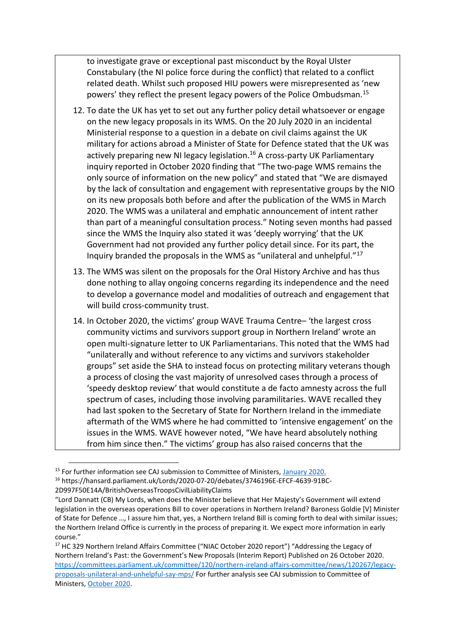to investigate grave or exceptional past misconduct by the Royal Ulster Constabulary (the NI police force during the conflict) that related to a conflict related death. Whilst such proposed HIU powers were misrepresented as 'new powers' they reflect the present legacy powers of the Police Ombudsman.<sup>15</sup>

- 12. To date the UK has yet to set out any further policy detail whatsoever or engage on the new legacy proposals in its WMS. On the 20 July 2020 in an incidental Ministerial response to a question in a debate on civil claims against the UK military for actions abroad a Minister of State for Defence stated that the UK was actively preparing new NI legacy legislation.<sup>16</sup> A cross-party UK Parliamentary inquiry reported in October 2020 finding that "The two-page WMS remains the only source of information on the new policy" and stated that "We are dismayed by the lack of consultation and engagement with representative groups by the NIO on its new proposals both before and after the publication of the WMS in March 2020. The WMS was a unilateral and emphatic announcement of intent rather than part of a meaningful consultation process." Noting seven months had passed since the WMS the Inquiry also stated it was 'deeply worrying' that the UK Government had not provided any further policy detail since. For its part, the Inquiry branded the proposals in the WMS as "unilateral and unhelpful."<sup>17</sup>
- 13. The WMS was silent on the proposals for the Oral History Archive and has thus done nothing to allay ongoing concerns regarding its independence and the need to develop a governance model and modalities of outreach and engagement that will build cross-community trust.
- 14. In October 2020, the victims' group WAVE Trauma Centre– 'the largest cross community victims and survivors support group in Northern Ireland' wrote an open multi-signature letter to UK Parliamentarians. This noted that the WMS had "unilaterally and without reference to any victims and survivors stakeholder groups" set aside the SHA to instead focus on protecting military veterans though a process of closing the vast majority of unresolved cases through a process of 'speedy desktop review' that would constitute a de facto amnesty across the full spectrum of cases, including those involving paramilitaries. WAVE recalled they had last spoken to the Secretary of State for Northern Ireland in the immediate aftermath of the WMS where he had committed to 'intensive engagement' on the issues in the WMS. WAVE however noted, "We have heard absolutely nothing from him since then." The victims' group has also raised concerns that the

<sup>&</sup>lt;sup>15</sup> For further information see CAJ submission to Committee of Ministers, January 2020.

<sup>16</sup> https://hansard.parliament.uk/Lords/2020-07-20/debates/3746196E-EFCF-4639-91BC-

<sup>2</sup>D997F50E14A/BritishOverseasTroopsCivilLiabilityClaims

<sup>&</sup>quot;Lord Dannatt (CB) My Lords, when does the Minister believe that Her Majesty's Government will extend legislation in the overseas operations Bill to cover operations in Northern Ireland? Baroness Goldie [V] Minister of State for Defence …, I assure him that, yes, a Northern Ireland Bill is coming forth to deal with similar issues; the Northern Ireland Office is currently in the process of preparing it. We expect more information in early course."

<sup>&</sup>lt;sup>17</sup> HC 329 Northern Ireland Affairs Committee ("NIAC October 2020 report") "Addressing the Legacy of Northern Ireland's Past: the Government's New Proposals (Interim Report) Published on 26 October 2020. [https://committees.parliament.uk/committee/120/northern-ireland-affairs-committee/news/120267/legacy](https://committees.parliament.uk/committee/120/northern-ireland-affairs-committee/news/120267/legacy-proposals-unilateral-and-unhelpful-say-mps/)[proposals-unilateral-and-unhelpful-say-mps/](https://committees.parliament.uk/committee/120/northern-ireland-affairs-committee/news/120267/legacy-proposals-unilateral-and-unhelpful-say-mps/) For further analysis see CAJ submission to Committee of Ministers, [October 2020.](https://caj.org.uk/2020/12/03/submission-to-the-committee-of-ministers-october-2020/)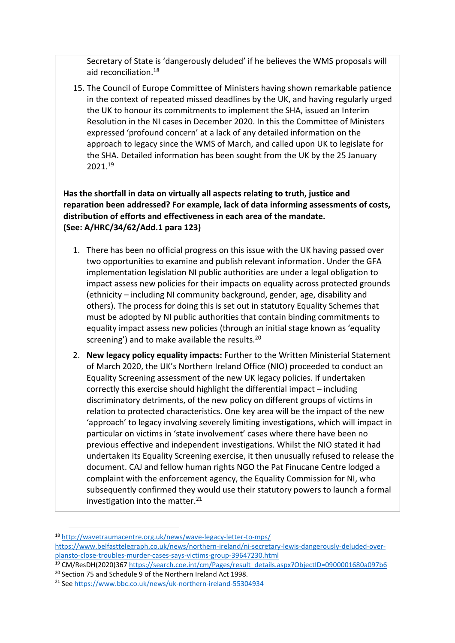Secretary of State is 'dangerously deluded' if he believes the WMS proposals will aid reconciliation.<sup>18</sup>

15. The Council of Europe Committee of Ministers having shown remarkable patience in the context of repeated missed deadlines by the UK, and having regularly urged the UK to honour its commitments to implement the SHA, issued an Interim Resolution in the NI cases in December 2020. In this the Committee of Ministers expressed 'profound concern' at a lack of any detailed information on the approach to legacy since the WMS of March, and called upon UK to legislate for the SHA. Detailed information has been sought from the UK by the 25 January 2021. 19

**Has the shortfall in data on virtually all aspects relating to truth, justice and reparation been addressed? For example, lack of data informing assessments of costs, distribution of efforts and effectiveness in each area of the mandate. (See: A/HRC/34/62/Add.1 para 123)**

- 1. There has been no official progress on this issue with the UK having passed over two opportunities to examine and publish relevant information. Under the GFA implementation legislation NI public authorities are under a legal obligation to impact assess new policies for their impacts on equality across protected grounds (ethnicity – including NI community background, gender, age, disability and others). The process for doing this is set out in statutory Equality Schemes that must be adopted by NI public authorities that contain binding commitments to equality impact assess new policies (through an initial stage known as 'equality screening') and to make available the results.<sup>20</sup>
- 2. **New legacy policy equality impacts:** Further to the Written Ministerial Statement of March 2020, the UK's Northern Ireland Office (NIO) proceeded to conduct an Equality Screening assessment of the new UK legacy policies. If undertaken correctly this exercise should highlight the differential impact – including discriminatory detriments, of the new policy on different groups of victims in relation to protected characteristics. One key area will be the impact of the new 'approach' to legacy involving severely limiting investigations, which will impact in particular on victims in 'state involvement' cases where there have been no previous effective and independent investigations. Whilst the NIO stated it had undertaken its Equality Screening exercise, it then unusually refused to release the document. CAJ and fellow human rights NGO the Pat Finucane Centre lodged a complaint with the enforcement agency, the Equality Commission for NI, who subsequently confirmed they would use their statutory powers to launch a formal investigation into the matter. $21$

<sup>18</sup> <http://wavetraumacentre.org.uk/news/wave-legacy-letter-to-mps/> [https://www.belfasttelegraph.co.uk/news/northern-ireland/ni-secretary-lewis-dangerously-deluded-over](https://www.belfasttelegraph.co.uk/news/northern-ireland/ni-secretary-lewis-dangerously-deluded-over-plansto-close-troubles-murder-cases-says-victims-group-39647230.html)[plansto-close-troubles-murder-cases-says-victims-group-39647230.html](https://www.belfasttelegraph.co.uk/news/northern-ireland/ni-secretary-lewis-dangerously-deluded-over-plansto-close-troubles-murder-cases-says-victims-group-39647230.html) 

<sup>19</sup> CM/ResDH(2020)367 [https://search.coe.int/cm/Pages/result\\_details.aspx?ObjectID=0900001680a097b6](https://search.coe.int/cm/Pages/result_details.aspx?ObjectID=0900001680a097b6)

<sup>&</sup>lt;sup>20</sup> Section 75 and Schedule 9 of the Northern Ireland Act 1998.

<sup>21</sup> Se[e https://www.bbc.co.uk/news/uk-northern-ireland-55304934](https://www.bbc.co.uk/news/uk-northern-ireland-55304934)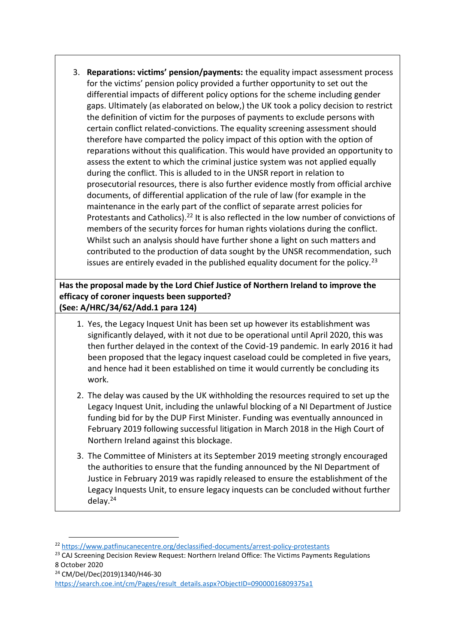3. **Reparations: victims' pension/payments:** the equality impact assessment process for the victims' pension policy provided a further opportunity to set out the differential impacts of different policy options for the scheme including gender gaps. Ultimately (as elaborated on below,) the UK took a policy decision to restrict the definition of victim for the purposes of payments to exclude persons with certain conflict related-convictions. The equality screening assessment should therefore have comparted the policy impact of this option with the option of reparations without this qualification. This would have provided an opportunity to assess the extent to which the criminal justice system was not applied equally during the conflict. This is alluded to in the UNSR report in relation to prosecutorial resources, there is also further evidence mostly from official archive documents, of differential application of the rule of law (for example in the maintenance in the early part of the conflict of separate arrest policies for Protestants and Catholics).<sup>22</sup> It is also reflected in the low number of convictions of members of the security forces for human rights violations during the conflict. Whilst such an analysis should have further shone a light on such matters and contributed to the production of data sought by the UNSR recommendation, such issues are entirely evaded in the published equality document for the policy.<sup>23</sup>

**Has the proposal made by the Lord Chief Justice of Northern Ireland to improve the efficacy of coroner inquests been supported? (See: A/HRC/34/62/Add.1 para 124)**

- 1. Yes, the Legacy Inquest Unit has been set up however its establishment was significantly delayed, with it not due to be operational until April 2020, this was then further delayed in the context of the Covid-19 pandemic. In early 2016 it had been proposed that the legacy inquest caseload could be completed in five years, and hence had it been established on time it would currently be concluding its work.
- 2. The delay was caused by the UK withholding the resources required to set up the Legacy Inquest Unit, including the unlawful blocking of a NI Department of Justice funding bid for by the DUP First Minister. Funding was eventually announced in February 2019 following successful litigation in March 2018 in the High Court of Northern Ireland against this blockage.
- 3. The Committee of Ministers at its September 2019 meeting strongly encouraged the authorities to ensure that the funding announced by the NI Department of Justice in February 2019 was rapidly released to ensure the establishment of the Legacy Inquests Unit, to ensure legacy inquests can be concluded without further delay. 24

<sup>24</sup> CM/Del/Dec(2019)1340/H46-30

<sup>22</sup> <https://www.patfinucanecentre.org/declassified-documents/arrest-policy-protestants>

<sup>&</sup>lt;sup>23</sup> CAJ Screening Decision Review Request: Northern Ireland Office: The Victims Payments Regulations 8 October 2020

https://search.coe.int/cm/Pages/result\_details.aspx?ObjectID=09000016809375a1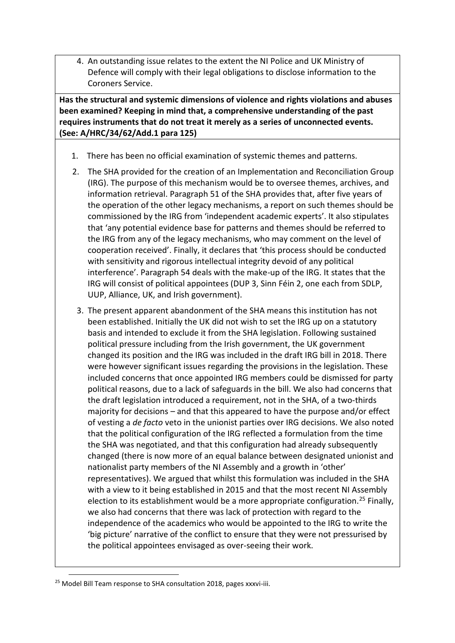4. An outstanding issue relates to the extent the NI Police and UK Ministry of Defence will comply with their legal obligations to disclose information to the Coroners Service.

**Has the structural and systemic dimensions of violence and rights violations and abuses been examined? Keeping in mind that, a comprehensive understanding of the past requires instruments that do not treat it merely as a series of unconnected events. (See: A/HRC/34/62/Add.1 para 125)**

- 1. There has been no official examination of systemic themes and patterns.
- 2. The SHA provided for the creation of an Implementation and Reconciliation Group (IRG). The purpose of this mechanism would be to oversee themes, archives, and information retrieval. Paragraph 51 of the SHA provides that, after five years of the operation of the other legacy mechanisms, a report on such themes should be commissioned by the IRG from 'independent academic experts'. It also stipulates that 'any potential evidence base for patterns and themes should be referred to the IRG from any of the legacy mechanisms, who may comment on the level of cooperation received'. Finally, it declares that 'this process should be conducted with sensitivity and rigorous intellectual integrity devoid of any political interference'. Paragraph 54 deals with the make-up of the IRG. It states that the IRG will consist of political appointees (DUP 3, Sinn Féin 2, one each from SDLP, UUP, Alliance, UK, and Irish government).
- 3. The present apparent abandonment of the SHA means this institution has not been established. Initially the UK did not wish to set the IRG up on a statutory basis and intended to exclude it from the SHA legislation. Following sustained political pressure including from the Irish government, the UK government changed its position and the IRG was included in the draft IRG bill in 2018. There were however significant issues regarding the provisions in the legislation. These included concerns that once appointed IRG members could be dismissed for party political reasons, due to a lack of safeguards in the bill. We also had concerns that the draft legislation introduced a requirement, not in the SHA, of a two-thirds majority for decisions – and that this appeared to have the purpose and/or effect of vesting a *de facto* veto in the unionist parties over IRG decisions. We also noted that the political configuration of the IRG reflected a formulation from the time the SHA was negotiated, and that this configuration had already subsequently changed (there is now more of an equal balance between designated unionist and nationalist party members of the NI Assembly and a growth in 'other' representatives). We argued that whilst this formulation was included in the SHA with a view to it being established in 2015 and that the most recent NI Assembly election to its establishment would be a more appropriate configuration.<sup>25</sup> Finally, we also had concerns that there was lack of protection with regard to the independence of the academics who would be appointed to the IRG to write the 'big picture' narrative of the conflict to ensure that they were not pressurised by the political appointees envisaged as over-seeing their work.

<sup>&</sup>lt;sup>25</sup> Model Bill Team response to SHA consultation 2018, pages xxxvi-iii.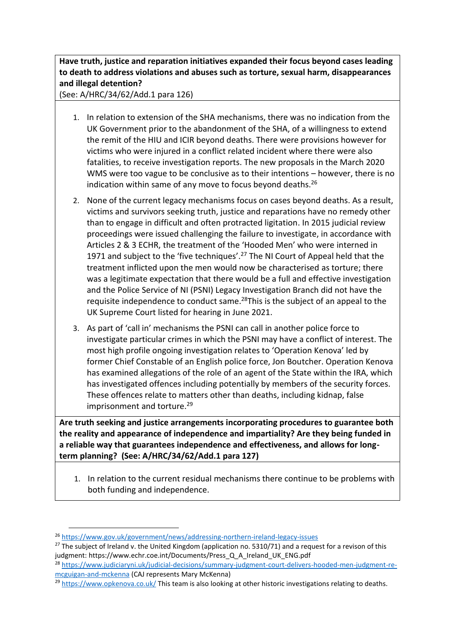## **Have truth, justice and reparation initiatives expanded their focus beyond cases leading to death to address violations and abuses such as torture, sexual harm, disappearances and illegal detention?**

(See: A/HRC/34/62/Add.1 para 126)

- 1. In relation to extension of the SHA mechanisms, there was no indication from the UK Government prior to the abandonment of the SHA, of a willingness to extend the remit of the HIU and ICIR beyond deaths. There were provisions however for victims who were injured in a conflict related incident where there were also fatalities, to receive investigation reports. The new proposals in the March 2020 WMS were too vague to be conclusive as to their intentions – however, there is no indication within same of any move to focus beyond deaths. $26$
- 2. None of the current legacy mechanisms focus on cases beyond deaths. As a result, victims and survivors seeking truth, justice and reparations have no remedy other than to engage in difficult and often protracted ligitation. In 2015 judicial review proceedings were issued challenging the failure to investigate, in accordance with Articles 2 & 3 ECHR, the treatment of the 'Hooded Men' who were interned in 1971 and subject to the 'five techniques'.<sup>27</sup> The NI Court of Appeal held that the treatment inflicted upon the men would now be characterised as torture; there was a legitimate expectation that there would be a full and effective investigation and the Police Service of NI (PSNI) Legacy Investigation Branch did not have the requisite independence to conduct same.<sup>28</sup>This is the subject of an appeal to the UK Supreme Court listed for hearing in June 2021.
- 3. As part of 'call in' mechanisms the PSNI can call in another police force to investigate particular crimes in which the PSNI may have a conflict of interest. The most high profile ongoing investigation relates to 'Operation Kenova' led by former Chief Constable of an English police force, Jon Boutcher. Operation Kenova has examined allegations of the role of an agent of the State within the IRA, which has investigated offences including potentially by members of the security forces. These offences relate to matters other than deaths, including kidnap, false imprisonment and torture.<sup>29</sup>

**Are truth seeking and justice arrangements incorporating procedures to guarantee both the reality and appearance of independence and impartiality? Are they being funded in a reliable way that guarantees independence and effectiveness, and allows for longterm planning? (See: A/HRC/34/62/Add.1 para 127)** 

1. In relation to the current residual mechanisms there continue to be problems with both funding and independence.

<sup>26</sup> <https://www.gov.uk/government/news/addressing-northern-ireland-legacy-issues>

 $27$  The subject of Ireland v. the United Kingdom (application no. 5310/71) and a request for a revison of this judgment: https://www.echr.coe.int/Documents/Press\_Q\_A\_Ireland\_UK\_ENG.pdf

<sup>28</sup> [https://www.judiciaryni.uk/judicial-decisions/summary-judgment-court-delivers-hooded-men-judgment-re](https://www.judiciaryni.uk/judicial-decisions/summary-judgment-court-delivers-hooded-men-judgment-re-mcguigan-and-mckenna)[mcguigan-and-mckenna](https://www.judiciaryni.uk/judicial-decisions/summary-judgment-court-delivers-hooded-men-judgment-re-mcguigan-and-mckenna) (CAJ represents Mary McKenna)

<sup>&</sup>lt;sup>29</sup> <https://www.opkenova.co.uk/> This team is also looking at other historic investigations relating to deaths.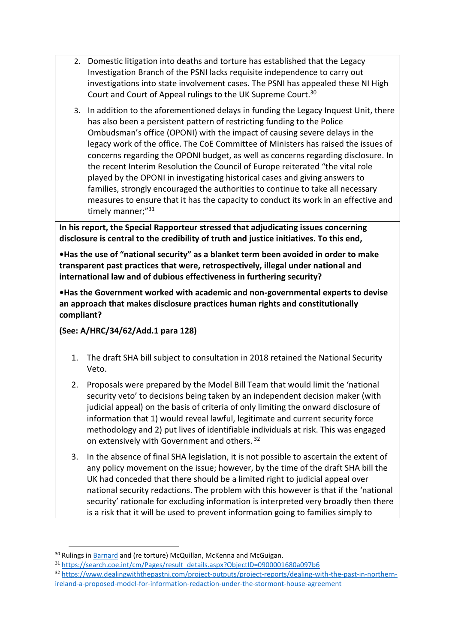- 2. Domestic litigation into deaths and torture has established that the Legacy Investigation Branch of the PSNI lacks requisite independence to carry out investigations into state involvement cases. The PSNI has appealed these NI High Court and Court of Appeal rulings to the UK Supreme Court.<sup>30</sup>
- 3. In addition to the aforementioned delays in funding the Legacy Inquest Unit, there has also been a persistent pattern of restricting funding to the Police Ombudsman's office (OPONI) with the impact of causing severe delays in the legacy work of the office. The CoE Committee of Ministers has raised the issues of concerns regarding the OPONI budget, as well as concerns regarding disclosure. In the recent Interim Resolution the Council of Europe reiterated "the vital role played by the OPONI in investigating historical cases and giving answers to families, strongly encouraged the authorities to continue to take all necessary measures to ensure that it has the capacity to conduct its work in an effective and timely manner;"<sup>31</sup>

**In his report, the Special Rapporteur stressed that adjudicating issues concerning disclosure is central to the credibility of truth and justice initiatives. To this end,** 

**•Has the use of "national security" as a blanket term been avoided in order to make transparent past practices that were, retrospectively, illegal under national and international law and of dubious effectiveness in furthering security?** 

**•Has the Government worked with academic and non-governmental experts to devise an approach that makes disclosure practices human rights and constitutionally compliant?** 

**(See: A/HRC/34/62/Add.1 para 128)**

- 1. The draft SHA bill subject to consultation in 2018 retained the National Security Veto.
- 2. Proposals were prepared by the Model Bill Team that would limit the 'national security veto' to decisions being taken by an independent decision maker (with judicial appeal) on the basis of criteria of only limiting the onward disclosure of information that 1) would reveal lawful, legitimate and current security force methodology and 2) put lives of identifiable individuals at risk. This was engaged on extensively with Government and others. 32
- 3. In the absence of final SHA legislation, it is not possible to ascertain the extent of any policy movement on the issue; however, by the time of the draft SHA bill the UK had conceded that there should be a limited right to judicial appeal over national security redactions. The problem with this however is that if the 'national security' rationale for excluding information is interpreted very broadly then there is a risk that it will be used to prevent information going to families simply to

<sup>&</sup>lt;sup>30</sup> Rulings in **Barnard** and (re torture) McQuillan, McKenna and McGuigan.

<sup>31</sup> [https://search.coe.int/cm/Pages/result\\_details.aspx?ObjectID=0900001680a097b6](https://search.coe.int/cm/Pages/result_details.aspx?ObjectID=0900001680a097b6)

<sup>32</sup> [https://www.dealingwiththepastni.com/project-outputs/project-reports/dealing-with-the-past-in-northern](https://www.dealingwiththepastni.com/project-outputs/project-reports/dealing-with-the-past-in-northern-ireland-a-proposed-model-for-information-redaction-under-the-stormont-house-agreement)[ireland-a-proposed-model-for-information-redaction-under-the-stormont-house-agreement](https://www.dealingwiththepastni.com/project-outputs/project-reports/dealing-with-the-past-in-northern-ireland-a-proposed-model-for-information-redaction-under-the-stormont-house-agreement)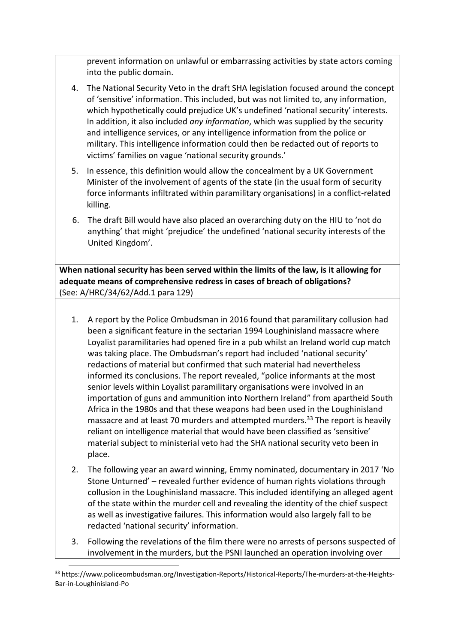prevent information on unlawful or embarrassing activities by state actors coming into the public domain.

- 4. The National Security Veto in the draft SHA legislation focused around the concept of 'sensitive' information. This included, but was not limited to, any information, which hypothetically could prejudice UK's undefined 'national security' interests. In addition, it also included *any information*, which was supplied by the security and intelligence services, or any intelligence information from the police or military. This intelligence information could then be redacted out of reports to victims' families on vague 'national security grounds.'
- 5. In essence, this definition would allow the concealment by a UK Government Minister of the involvement of agents of the state (in the usual form of security force informants infiltrated within paramilitary organisations) in a conflict-related killing.
- 6. The draft Bill would have also placed an overarching duty on the HIU to 'not do anything' that might 'prejudice' the undefined 'national security interests of the United Kingdom'.

**When national security has been served within the limits of the law, is it allowing for adequate means of comprehensive redress in cases of breach of obligations?**  (See: A/HRC/34/62/Add.1 para 129)

- 1. A report by the Police Ombudsman in 2016 found that paramilitary collusion had been a significant feature in the sectarian 1994 Loughinisland massacre where Loyalist paramilitaries had opened fire in a pub whilst an Ireland world cup match was taking place. The Ombudsman's report had included 'national security' redactions of material but confirmed that such material had nevertheless informed its conclusions. The report revealed, "police informants at the most senior levels within Loyalist paramilitary organisations were involved in an importation of guns and ammunition into Northern Ireland" from apartheid South Africa in the 1980s and that these weapons had been used in the Loughinisland massacre and at least 70 murders and attempted murders.<sup>33</sup> The report is heavily reliant on intelligence material that would have been classified as 'sensitive' material subject to ministerial veto had the SHA national security veto been in place.
- 2. The following year an award winning, Emmy nominated, documentary in 2017 'No Stone Unturned' – revealed further evidence of human rights violations through collusion in the Loughinisland massacre. This included identifying an alleged agent of the state within the murder cell and revealing the identity of the chief suspect as well as investigative failures. This information would also largely fall to be redacted 'national security' information.
- 3. Following the revelations of the film there were no arrests of persons suspected of involvement in the murders, but the PSNI launched an operation involving over

<sup>33</sup> https://www.policeombudsman.org/Investigation-Reports/Historical-Reports/The-murders-at-the-Heights-Bar-in-Loughinisland-Po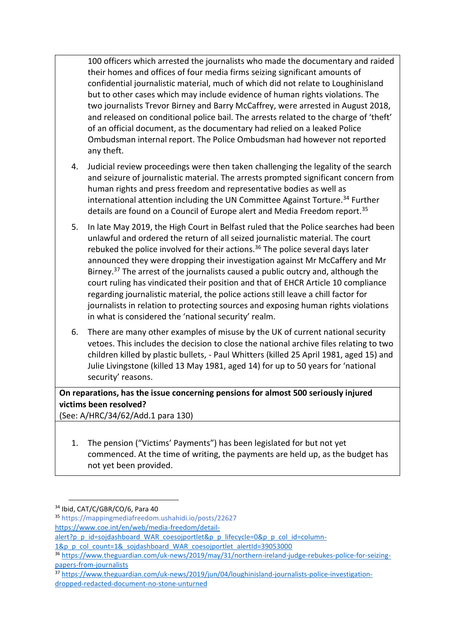100 officers which arrested the journalists who made the documentary and raided their homes and offices of four media firms seizing significant amounts of confidential journalistic material, much of which did not relate to Loughinisland but to other cases which may include evidence of human rights violations. The two journalists Trevor Birney and Barry McCaffrey, were arrested in August 2018, and released on conditional police bail. The arrests related to the charge of 'theft' of an official document, as the documentary had relied on a leaked Police Ombudsman internal report. The Police Ombudsman had however not reported any theft.

- 4. Judicial review proceedings were then taken challenging the legality of the search and seizure of journalistic material. The arrests prompted significant concern from human rights and press freedom and representative bodies as well as international attention including the UN Committee Against Torture.<sup>34</sup> Further details are found on a Council of Europe alert and Media Freedom report.<sup>35</sup>
- 5. In late May 2019, the High Court in Belfast ruled that the Police searches had been unlawful and ordered the return of all seized journalistic material. The court rebuked the police involved for their actions.<sup>36</sup> The police several days later announced they were dropping their investigation against Mr McCaffery and Mr Birney.<sup>37</sup> The arrest of the journalists caused a public outcry and, although the court ruling has vindicated their position and that of EHCR Article 10 compliance regarding journalistic material, the police actions still leave a chill factor for journalists in relation to protecting sources and exposing human rights violations in what is considered the 'national security' realm.
- 6. There are many other examples of misuse by the UK of current national security vetoes. This includes the decision to close the national archive files relating to two children killed by plastic bullets, - Paul Whitters (killed 25 April 1981, aged 15) and Julie Livingstone (killed 13 May 1981, aged 14) for up to 50 years for 'national security' reasons.

## **On reparations, has the issue concerning pensions for almost 500 seriously injured victims been resolved?**

(See: A/HRC/34/62/Add.1 para 130)

1. The pension ("Victims' Payments") has been legislated for but not yet commenced. At the time of writing, the payments are held up, as the budget has not yet been provided.

<sup>34</sup> Ibid, CAT/C/GBR/CO/6, Para 40

<sup>35</sup> https://mappingmediafreedom.ushahidi.io/posts/22627 [https://www.coe.int/en/web/media-freedom/detail-](https://www.coe.int/en/web/media-freedom/detail-alert?p_p_id=sojdashboard_WAR_coesojportlet&p_p_lifecycle=0&p_p_col_id=column-1&p_p_col_count=1&_sojdashboard_WAR_coesojportlet_alertId=39053000)

[alert?p\\_p\\_id=sojdashboard\\_WAR\\_coesojportlet&p\\_p\\_lifecycle=0&p\\_p\\_col\\_id=column-](https://www.coe.int/en/web/media-freedom/detail-alert?p_p_id=sojdashboard_WAR_coesojportlet&p_p_lifecycle=0&p_p_col_id=column-1&p_p_col_count=1&_sojdashboard_WAR_coesojportlet_alertId=39053000)

[<sup>1&</sup>amp;p\\_p\\_col\\_count=1&\\_sojdashboard\\_WAR\\_coesojportlet\\_alertId=39053000](https://www.coe.int/en/web/media-freedom/detail-alert?p_p_id=sojdashboard_WAR_coesojportlet&p_p_lifecycle=0&p_p_col_id=column-1&p_p_col_count=1&_sojdashboard_WAR_coesojportlet_alertId=39053000)

<sup>36</sup> [https://www.theguardian.com/uk-news/2019/may/31/northern-ireland-judge-rebukes-police-for-seizing](https://www.theguardian.com/uk-news/2019/may/31/northern-ireland-judge-rebukes-police-for-seizing-papers-from-journalists)[papers-from-journalists](https://www.theguardian.com/uk-news/2019/may/31/northern-ireland-judge-rebukes-police-for-seizing-papers-from-journalists)

<sup>37</sup> [https://www.theguardian.com/uk-news/2019/jun/04/loughinisland-journalists-police-investigation](https://www.theguardian.com/uk-news/2019/jun/04/loughinisland-journalists-police-investigation-dropped-redacted-document-no-stone-unturned)[dropped-redacted-document-no-stone-unturned](https://www.theguardian.com/uk-news/2019/jun/04/loughinisland-journalists-police-investigation-dropped-redacted-document-no-stone-unturned)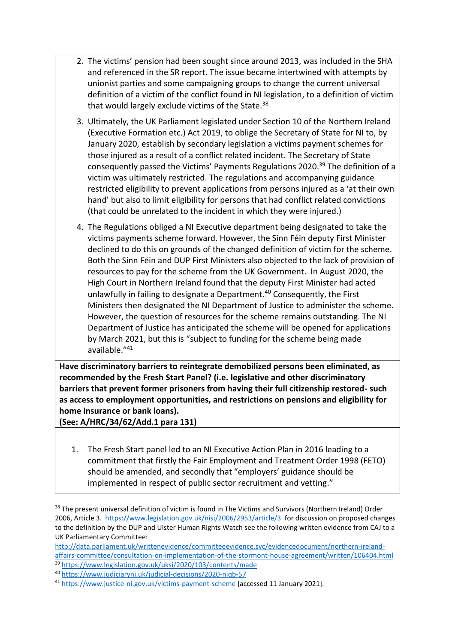- 2. The victims' pension had been sought since around 2013, was included in the SHA and referenced in the SR report. The issue became intertwined with attempts by unionist parties and some campaigning groups to change the current universal definition of a victim of the conflict found in NI legislation, to a definition of victim that would largely exclude victims of the State.<sup>38</sup>
- 3. Ultimately, the UK Parliament legislated under Section 10 of the Northern Ireland (Executive Formation etc.) Act 2019, to oblige the Secretary of State for NI to, by January 2020, establish by secondary legislation a victims payment schemes for those injured as a result of a conflict related incident. The Secretary of State consequently passed the Victims' Payments Regulations 2020.<sup>39</sup> The definition of a victim was ultimately restricted. The regulations and accompanying guidance restricted eligibility to prevent applications from persons injured as a 'at their own hand' but also to limit eligibility for persons that had conflict related convictions (that could be unrelated to the incident in which they were injured.)
- 4. The Regulations obliged a NI Executive department being designated to take the victims payments scheme forward. However, the Sinn Féin deputy First Minister declined to do this on grounds of the changed definition of victim for the scheme. Both the Sinn Féin and DUP First Ministers also objected to the lack of provision of resources to pay for the scheme from the UK Government. In August 2020, the High Court in Northern Ireland found that the deputy First Minister had acted unlawfully in failing to designate a Department.<sup>40</sup> Consequently, the First Ministers then designated the NI Department of Justice to administer the scheme. However, the question of resources for the scheme remains outstanding. The NI Department of Justice has anticipated the scheme will be opened for applications by March 2021, but this is "subject to funding for the scheme being made available." 41

**Have discriminatory barriers to reintegrate demobilized persons been eliminated, as recommended by the Fresh Start Panel? (i.e. legislative and other discriminatory barriers that prevent former prisoners from having their full citizenship restored- such as access to employment opportunities, and restrictions on pensions and eligibility for home insurance or bank loans).** 

**(See: A/HRC/34/62/Add.1 para 131)**

1. The Fresh Start panel led to an NI Executive Action Plan in 2016 leading to a commitment that firstly the Fair Employment and Treatment Order 1998 (FETO) should be amended, and secondly that "employers' guidance should be implemented in respect of public sector recruitment and vetting."

<sup>&</sup>lt;sup>38</sup> The present universal definition of victim is found in The Victims and Survivors (Northern Ireland) Order 2006, Article 3. <https://www.legislation.gov.uk/nisi/2006/2953/article/3>for discussion on proposed changes to the definition by the DUP and Ulster Human Rights Watch see the following written evidence from CAJ to a UK Parliamentary Committee:

[http://data.parliament.uk/writtenevidence/committeeevidence.svc/evidencedocument/northern-ireland](http://data.parliament.uk/writtenevidence/committeeevidence.svc/evidencedocument/northern-ireland-affairs-committee/consultation-on-implementation-of-the-stormont-house-agreement/written/106404.html)[affairs-committee/consultation-on-implementation-of-the-stormont-house-agreement/written/106404.html](http://data.parliament.uk/writtenevidence/committeeevidence.svc/evidencedocument/northern-ireland-affairs-committee/consultation-on-implementation-of-the-stormont-house-agreement/written/106404.html)

<sup>39</sup> <https://www.legislation.gov.uk/uksi/2020/103/contents/made>

<sup>40</sup> <https://www.judiciaryni.uk/judicial-decisions/2020-niqb-57>

<sup>41</sup> <https://www.justice-ni.gov.uk/victims-payment-scheme> [accessed 11 January 2021].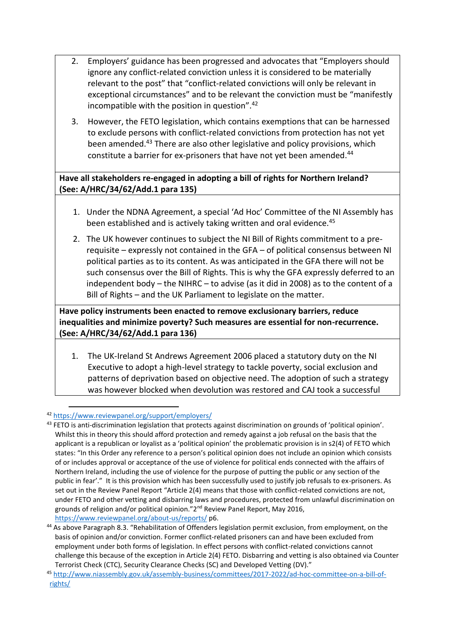- 2. Employers' guidance has been progressed and advocates that "Employers should ignore any conflict-related conviction unless it is considered to be materially relevant to the post" that "conflict-related convictions will only be relevant in exceptional circumstances" and to be relevant the conviction must be "manifestly incompatible with the position in question".<sup>42</sup>
- 3. However, the FETO legislation, which contains exemptions that can be harnessed to exclude persons with conflict-related convictions from protection has not yet been amended.<sup>43</sup> There are also other legislative and policy provisions, which constitute a barrier for ex-prisoners that have not vet been amended.<sup>44</sup>

## **Have all stakeholders re-engaged in adopting a bill of rights for Northern Ireland? (See: A/HRC/34/62/Add.1 para 135)**

- 1. Under the NDNA Agreement, a special 'Ad Hoc' Committee of the NI Assembly has been established and is actively taking written and oral evidence.<sup>45</sup>
- 2. The UK however continues to subject the NI Bill of Rights commitment to a prerequisite – expressly not contained in the GFA – of political consensus between NI political parties as to its content. As was anticipated in the GFA there will not be such consensus over the Bill of Rights. This is why the GFA expressly deferred to an independent body – the NIHRC – to advise (as it did in 2008) as to the content of a Bill of Rights – and the UK Parliament to legislate on the matter.

**Have policy instruments been enacted to remove exclusionary barriers, reduce inequalities and minimize poverty? Such measures are essential for non-recurrence. (See: A/HRC/34/62/Add.1 para 136)**

1. The UK-Ireland St Andrews Agreement 2006 placed a statutory duty on the NI Executive to adopt a high-level strategy to tackle poverty, social exclusion and patterns of deprivation based on objective need. The adoption of such a strategy was however blocked when devolution was restored and CAJ took a successful

<sup>42</sup> <https://www.reviewpanel.org/support/employers/>

<sup>&</sup>lt;sup>43</sup> FETO is anti-discrimination legislation that protects against discrimination on grounds of 'political opinion'. Whilst this in theory this should afford protection and remedy against a job refusal on the basis that the applicant is a republican or loyalist as a 'political opinion' the problematic provision is in s2(4) of FETO which states: "In this Order any reference to a person's political opinion does not include an opinion which consists of or includes approval or acceptance of the use of violence for political ends connected with the affairs of Northern Ireland, including the use of violence for the purpose of putting the public or any section of the public in fear'." It is this provision which has been successfully used to justify job refusals to ex-prisoners. As set out in the Review Panel Report "Article 2(4) means that those with conflict-related convictions are not, under FETO and other vetting and disbarring laws and procedures, protected from unlawful discrimination on grounds of religion and/or political opinion."2<sup>nd</sup> Review Panel Report, May 2016, <https://www.reviewpanel.org/about-us/reports/> p6.

<sup>&</sup>lt;sup>44</sup> As above Paragraph 8.3. "Rehabilitation of Offenders legislation permit exclusion, from employment, on the basis of opinion and/or conviction. Former conflict-related prisoners can and have been excluded from employment under both forms of legislation. In effect persons with conflict-related convictions cannot challenge this because of the exception in Article 2(4) FETO. Disbarring and vetting is also obtained via Counter Terrorist Check (CTC), Security Clearance Checks (SC) and Developed Vetting (DV)."

<sup>45</sup> [http://www.niassembly.gov.uk/assembly-business/committees/2017-2022/ad-hoc-committee-on-a-bill-of](http://www.niassembly.gov.uk/assembly-business/committees/2017-2022/ad-hoc-committee-on-a-bill-of-rights/)[rights/](http://www.niassembly.gov.uk/assembly-business/committees/2017-2022/ad-hoc-committee-on-a-bill-of-rights/)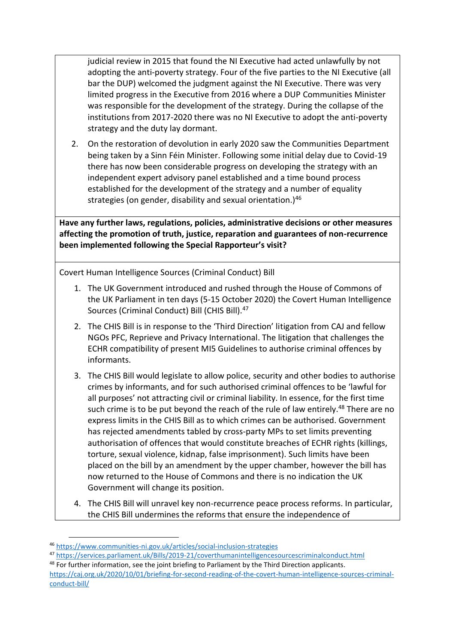judicial review in 2015 that found the NI Executive had acted unlawfully by not adopting the anti-poverty strategy. Four of the five parties to the NI Executive (all bar the DUP) welcomed the judgment against the NI Executive. There was very limited progress in the Executive from 2016 where a DUP Communities Minister was responsible for the development of the strategy. During the collapse of the institutions from 2017-2020 there was no NI Executive to adopt the anti-poverty strategy and the duty lay dormant.

2. On the restoration of devolution in early 2020 saw the Communities Department being taken by a Sinn Féin Minister. Following some initial delay due to Covid-19 there has now been considerable progress on developing the strategy with an independent expert advisory panel established and a time bound process established for the development of the strategy and a number of equality strategies (on gender, disability and sexual orientation.) $46$ 

**Have any further laws, regulations, policies, administrative decisions or other measures affecting the promotion of truth, justice, reparation and guarantees of non-recurrence been implemented following the Special Rapporteur's visit?** 

Covert Human Intelligence Sources (Criminal Conduct) Bill

- 1. The UK Government introduced and rushed through the House of Commons of the UK Parliament in ten days (5-15 October 2020) the Covert Human Intelligence Sources (Criminal Conduct) Bill (CHIS Bill).<sup>47</sup>
- 2. The CHIS Bill is in response to the 'Third Direction' litigation from CAJ and fellow NGOs PFC, Reprieve and Privacy International. The litigation that challenges the ECHR compatibility of present MI5 Guidelines to authorise criminal offences by informants.
- 3. The CHIS Bill would legislate to allow police, security and other bodies to authorise crimes by informants, and for such authorised criminal offences to be 'lawful for all purposes' not attracting civil or criminal liability. In essence, for the first time such crime is to be put beyond the reach of the rule of law entirely.<sup>48</sup> There are no express limits in the CHIS Bill as to which crimes can be authorised. Government has rejected amendments tabled by cross-party MPs to set limits preventing authorisation of offences that would constitute breaches of ECHR rights (killings, torture, sexual violence, kidnap, false imprisonment). Such limits have been placed on the bill by an amendment by the upper chamber, however the bill has now returned to the House of Commons and there is no indication the UK Government will change its position.
- 4. The CHIS Bill will unravel key non-recurrence peace process reforms. In particular, the CHIS Bill undermines the reforms that ensure the independence of

<sup>46</sup> <https://www.communities-ni.gov.uk/articles/social-inclusion-strategies>

<sup>47</sup> <https://services.parliament.uk/Bills/2019-21/coverthumanintelligencesourcescriminalconduct.html>

<sup>48</sup> For further information, see the joint briefing to Parliament by the Third Direction applicants.

[https://caj.org.uk/2020/10/01/briefing-for-second-reading-of-the-covert-human-intelligence-sources-criminal](https://caj.org.uk/2020/10/01/briefing-for-second-reading-of-the-covert-human-intelligence-sources-criminal-conduct-bill/)[conduct-bill/](https://caj.org.uk/2020/10/01/briefing-for-second-reading-of-the-covert-human-intelligence-sources-criminal-conduct-bill/)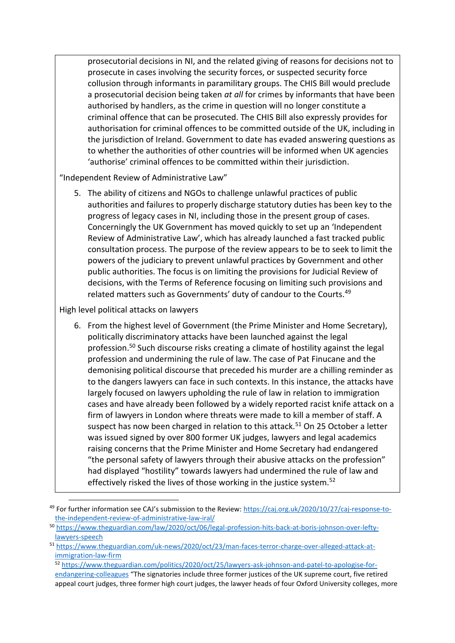prosecutorial decisions in NI, and the related giving of reasons for decisions not to prosecute in cases involving the security forces, or suspected security force collusion through informants in paramilitary groups. The CHIS Bill would preclude a prosecutorial decision being taken *at all* for crimes by informants that have been authorised by handlers, as the crime in question will no longer constitute a criminal offence that can be prosecuted. The CHIS Bill also expressly provides for authorisation for criminal offences to be committed outside of the UK, including in the jurisdiction of Ireland. Government to date has evaded answering questions as to whether the authorities of other countries will be informed when UK agencies 'authorise' criminal offences to be committed within their jurisdiction.

"Independent Review of Administrative Law"

5. The ability of citizens and NGOs to challenge unlawful practices of public authorities and failures to properly discharge statutory duties has been key to the progress of legacy cases in NI, including those in the present group of cases. Concerningly the UK Government has moved quickly to set up an 'Independent Review of Administrative Law', which has already launched a fast tracked public consultation process. The purpose of the review appears to be to seek to limit the powers of the judiciary to prevent unlawful practices by Government and other public authorities. The focus is on limiting the provisions for Judicial Review of decisions, with the Terms of Reference focusing on limiting such provisions and related matters such as Governments' duty of candour to the Courts.<sup>49</sup>

High level political attacks on lawyers

6. From the highest level of Government (the Prime Minister and Home Secretary), politically discriminatory attacks have been launched against the legal profession.<sup>50</sup> Such discourse risks creating a climate of hostility against the legal profession and undermining the rule of law. The case of Pat Finucane and the demonising political discourse that preceded his murder are a chilling reminder as to the dangers lawyers can face in such contexts. In this instance, the attacks have largely focused on lawyers upholding the rule of law in relation to immigration cases and have already been followed by a widely reported racist knife attack on a firm of lawyers in London where threats were made to kill a member of staff. A suspect has now been charged in relation to this attack.<sup>51</sup> On 25 October a letter was issued signed by over 800 former UK judges, lawyers and legal academics raising concerns that the Prime Minister and Home Secretary had endangered "the personal safety of lawyers through their abusive attacks on the profession" had displayed "hostility" towards lawyers had undermined the rule of law and effectively risked the lives of those working in the justice system.<sup>52</sup>

<sup>52</sup> [https://www.theguardian.com/politics/2020/oct/25/lawyers-ask-johnson-and-patel-to-apologise-for](https://www.theguardian.com/politics/2020/oct/25/lawyers-ask-johnson-and-patel-to-apologise-for-endangering-colleagues)[endangering-colleagues](https://www.theguardian.com/politics/2020/oct/25/lawyers-ask-johnson-and-patel-to-apologise-for-endangering-colleagues) "The signatories include three former justices of the UK supreme court, five retired appeal court judges, three former high court judges, the lawyer heads of four Oxford University colleges, more

<sup>49</sup> For further information see CAJ's submission to the Review: [https://caj.org.uk/2020/10/27/caj-response-to](https://caj.org.uk/2020/10/27/caj-response-to-the-independent-review-of-administrative-law-iral/)[the-independent-review-of-administrative-law-iral/](https://caj.org.uk/2020/10/27/caj-response-to-the-independent-review-of-administrative-law-iral/)

<sup>50</sup> [https://www.theguardian.com/law/2020/oct/06/legal-profession-hits-back-at-boris-johnson-over-lefty](https://www.theguardian.com/law/2020/oct/06/legal-profession-hits-back-at-boris-johnson-over-lefty-lawyers-speech)[lawyers-speech](https://www.theguardian.com/law/2020/oct/06/legal-profession-hits-back-at-boris-johnson-over-lefty-lawyers-speech)

<sup>51</sup> [https://www.theguardian.com/uk-news/2020/oct/23/man-faces-terror-charge-over-alleged-attack-at](https://www.theguardian.com/uk-news/2020/oct/23/man-faces-terror-charge-over-alleged-attack-at-immigration-law-firm)[immigration-law-firm](https://www.theguardian.com/uk-news/2020/oct/23/man-faces-terror-charge-over-alleged-attack-at-immigration-law-firm)